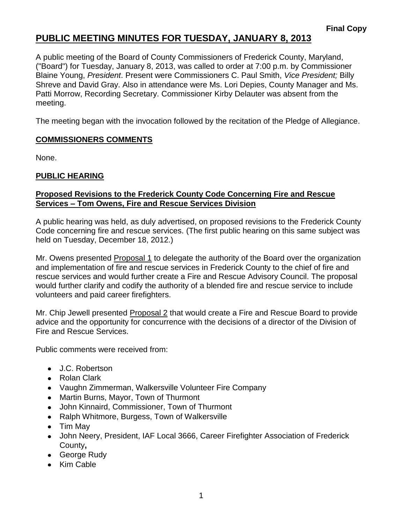# **PUBLIC MEETING MINUTES FOR TUESDAY, JANUARY 8, 2013**

A public meeting of the Board of County Commissioners of Frederick County, Maryland, ("Board") for Tuesday, January 8, 2013, was called to order at 7:00 p.m. by Commissioner Blaine Young, *President*. Present were Commissioners C. Paul Smith, *Vice President;* Billy Shreve and David Gray. Also in attendance were Ms. Lori Depies, County Manager and Ms. Patti Morrow, Recording Secretary. Commissioner Kirby Delauter was absent from the meeting.

The meeting began with the invocation followed by the recitation of the Pledge of Allegiance.

### **COMMISSIONERS COMMENTS**

None.

## **PUBLIC HEARING**

### **Proposed Revisions to the Frederick County Code Concerning Fire and Rescue Services – Tom Owens, Fire and Rescue Services Division**

A public hearing was held, as duly advertised, on proposed revisions to the Frederick County Code concerning fire and rescue services. (The first public hearing on this same subject was held on Tuesday, December 18, 2012.)

Mr. Owens presented Proposal 1 to delegate the authority of the Board over the organization and implementation of fire and rescue services in Frederick County to the chief of fire and rescue services and would further create a Fire and Rescue Advisory Council. The proposal would further clarify and codify the authority of a blended fire and rescue service to include volunteers and paid career firefighters.

Mr. Chip Jewell presented Proposal 2 that would create a Fire and Rescue Board to provide advice and the opportunity for concurrence with the decisions of a director of the Division of Fire and Rescue Services.

Public comments were received from:

- J.C. Robertson
- Rolan Clark
- Vaughn Zimmerman, Walkersville Volunteer Fire Company
- Martin Burns, Mayor, Town of Thurmont
- John Kinnaird, Commissioner, Town of Thurmont  $\bullet$
- Ralph Whitmore, Burgess, Town of Walkersville
- Tim May
- John Neery, President, IAF Local 3666, Career Firefighter Association of Frederick County**,**
- George Rudy
- Kim Cable